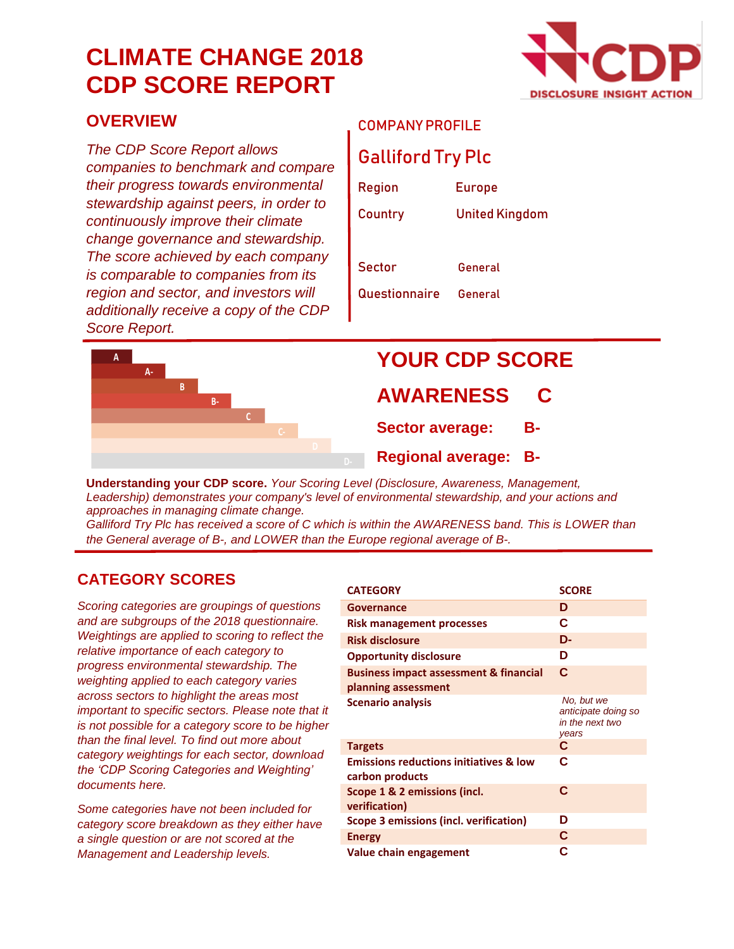## **CLIMATE CHANGE 2018 CDP SCORE REPORT**



#### **OVERVIEW**

*The CDP Score Report allows companies to benchmark and compare their progress towards environmental stewardship against peers, in order to continuously improve their climate change governance and stewardship. The score achieved by each company is comparable to companies from its region and sector, and investors will additionally receive a copy of the CDP Score Report.*

#### COMPANY PROFILE

#### Galliford Try Plc

| Region        | <b>Europe</b>         |
|---------------|-----------------------|
| Country       | <b>United Kingdom</b> |
|               |                       |
| Sector        | General               |
| Questionnaire | General               |



# **YOUR CDP SCORE**

#### **AWARENESS**

**Sector average: B-**

**Regional average: B-**

**Understanding your CDP score.** *Your Scoring Level (Disclosure, Awareness, Management, Leadership) demonstrates your company's level of environmental stewardship, and your actions and approaches in managing climate change.*

*Galliford Try Plc has received a score of C which is within the AWARENESS band. This is LOWER than the General average of B-, and LOWER than the Europe regional average of B-.*

#### **CATEGORY SCORES**

*Scoring categories are groupings of questions and are subgroups of the 2018 questionnaire. Weightings are applied to scoring to reflect the relative importance of each category to progress environmental stewardship. The weighting applied to each category varies across sectors to highlight the areas most important to specific sectors. Please note that it is not possible for a category score to be higher than the final level. To find out more about category weightings for each sector, download the 'CDP Scoring Categories and Weighting' documents here.*

*Some categories have not been included for category score breakdown as they either have a single question or are not scored at the Management and Leadership levels.*

| <b>CATEGORY</b>                                                          | <b>SCORE</b>                                                  |
|--------------------------------------------------------------------------|---------------------------------------------------------------|
| <b>Governance</b>                                                        | D                                                             |
| <b>Risk management processes</b>                                         | C                                                             |
| <b>Risk disclosure</b>                                                   | D-                                                            |
| <b>Opportunity disclosure</b>                                            | D                                                             |
| <b>Business impact assessment &amp; financial</b><br>planning assessment | C                                                             |
| <b>Scenario analysis</b>                                                 | No, but we<br>anticipate doing so<br>in the next two<br>vears |
| <b>Targets</b>                                                           | C                                                             |
| <b>Emissions reductions initiatives &amp; low</b><br>carbon products     | C                                                             |
| Scope 1 & 2 emissions (incl.<br>verification)                            | C                                                             |
| <b>Scope 3 emissions (incl. verification)</b>                            | D                                                             |
| <b>Energy</b>                                                            | C                                                             |
| Value chain engagement                                                   | C                                                             |